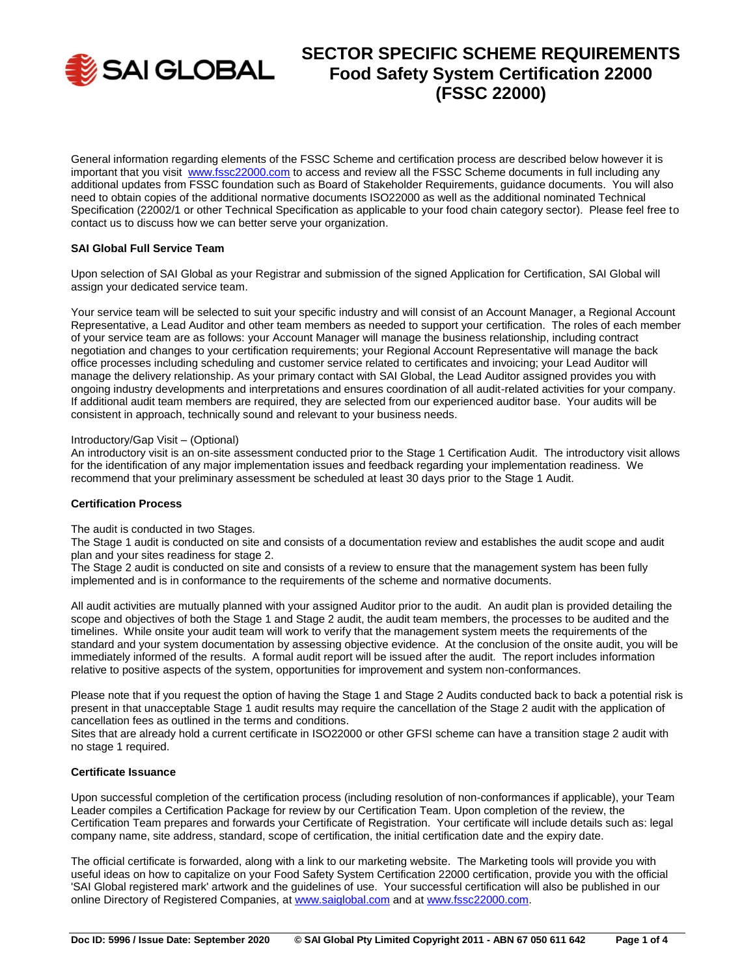

# **SECTOR SPECIFIC SCHEME REQUIREMENTS Food Safety System Certification 22000 (FSSC 22000)**

General information regarding elements of the FSSC Scheme and certification process are described below however it is important that you visit [www.fssc22000.com](http://www.fssc22000.com/) to access and review all the FSSC Scheme documents in full including any additional updates from FSSC foundation such as Board of Stakeholder Requirements, guidance documents. You will also need to obtain copies of the additional normative documents ISO22000 as well as the additional nominated Technical Specification (22002/1 or other Technical Specification as applicable to your food chain category sector). Please feel free to contact us to discuss how we can better serve your organization.

## **SAI Global Full Service Team**

Upon selection of SAI Global as your Registrar and submission of the signed Application for Certification, SAI Global will assign your dedicated service team.

Your service team will be selected to suit your specific industry and will consist of an Account Manager, a Regional Account Representative, a Lead Auditor and other team members as needed to support your certification. The roles of each member of your service team are as follows: your Account Manager will manage the business relationship, including contract negotiation and changes to your certification requirements; your Regional Account Representative will manage the back office processes including scheduling and customer service related to certificates and invoicing; your Lead Auditor will manage the delivery relationship. As your primary contact with SAI Global, the Lead Auditor assigned provides you with ongoing industry developments and interpretations and ensures coordination of all audit-related activities for your company. If additional audit team members are required, they are selected from our experienced auditor base. Your audits will be consistent in approach, technically sound and relevant to your business needs.

#### Introductory/Gap Visit – (Optional)

An introductory visit is an on-site assessment conducted prior to the Stage 1 Certification Audit. The introductory visit allows for the identification of any major implementation issues and feedback regarding your implementation readiness. We recommend that your preliminary assessment be scheduled at least 30 days prior to the Stage 1 Audit.

#### **Certification Process**

The audit is conducted in two Stages.

The Stage 1 audit is conducted on site and consists of a documentation review and establishes the audit scope and audit plan and your sites readiness for stage 2.

The Stage 2 audit is conducted on site and consists of a review to ensure that the management system has been fully implemented and is in conformance to the requirements of the scheme and normative documents.

All audit activities are mutually planned with your assigned Auditor prior to the audit. An audit plan is provided detailing the scope and objectives of both the Stage 1 and Stage 2 audit, the audit team members, the processes to be audited and the timelines. While onsite your audit team will work to verify that the management system meets the requirements of the standard and your system documentation by assessing objective evidence. At the conclusion of the onsite audit, you will be immediately informed of the results. A formal audit report will be issued after the audit. The report includes information relative to positive aspects of the system, opportunities for improvement and system non-conformances.

Please note that if you request the option of having the Stage 1 and Stage 2 Audits conducted back to back a potential risk is present in that unacceptable Stage 1 audit results may require the cancellation of the Stage 2 audit with the application of cancellation fees as outlined in the terms and conditions.

Sites that are already hold a current certificate in ISO22000 or other GFSI scheme can have a transition stage 2 audit with no stage 1 required.

#### **Certificate Issuance**

Upon successful completion of the certification process (including resolution of non-conformances if applicable), your Team Leader compiles a Certification Package for review by our Certification Team. Upon completion of the review, the Certification Team prepares and forwards your Certificate of Registration. Your certificate will include details such as: legal company name, site address, standard, scope of certification, the initial certification date and the expiry date.

The official certificate is forwarded, along with a link to our marketing website. The Marketing tools will provide you with useful ideas on how to capitalize on your Food Safety System Certification 22000 certification, provide you with the official 'SAI Global registered mark' artwork and the guidelines of use. Your successful certification will also be published in our online Directory of Registered Companies, at [www.saiglobal.com](http://www.saiglobal.com/) and at [www.fssc22000.com.](http://www.fssc22000.com/)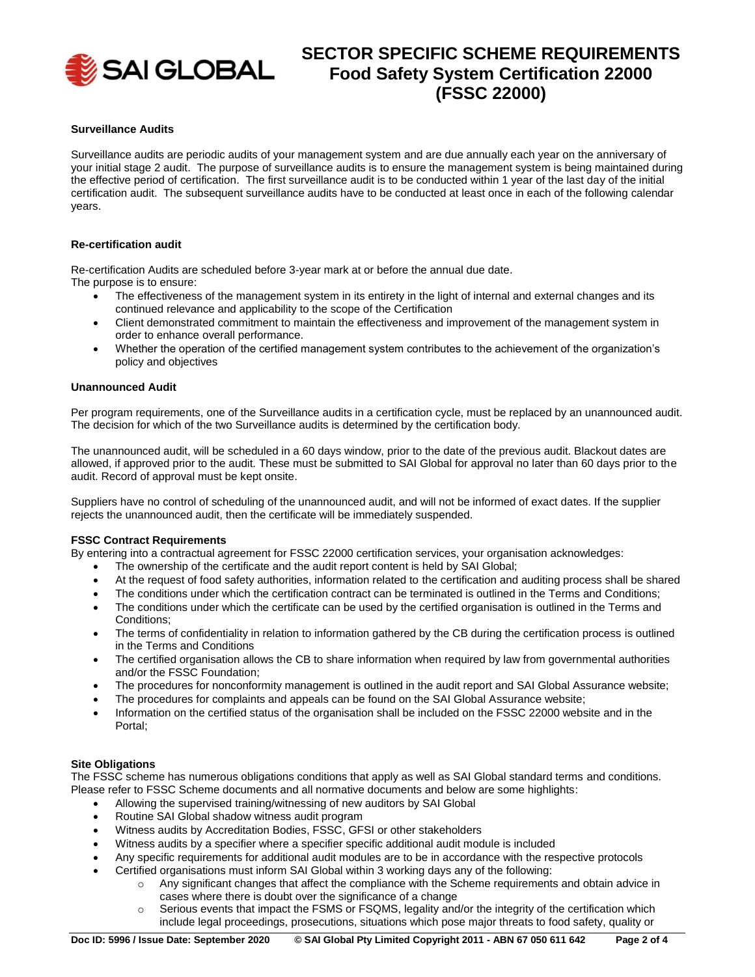

# **SECTOR SPECIFIC SCHEME REQUIREMENTS Food Safety System Certification 22000 (FSSC 22000)**

### **Surveillance Audits**

Surveillance audits are periodic audits of your management system and are due annually each year on the anniversary of your initial stage 2 audit. The purpose of surveillance audits is to ensure the management system is being maintained during the effective period of certification. The first surveillance audit is to be conducted within 1 year of the last day of the initial certification audit. The subsequent surveillance audits have to be conducted at least once in each of the following calendar years.

#### **Re-certification audit**

Re-certification Audits are scheduled before 3-year mark at or before the annual due date. The purpose is to ensure:

- The effectiveness of the management system in its entirety in the light of internal and external changes and its continued relevance and applicability to the scope of the Certification
- Client demonstrated commitment to maintain the effectiveness and improvement of the management system in order to enhance overall performance.
- Whether the operation of the certified management system contributes to the achievement of the organization's policy and objectives

#### **Unannounced Audit**

Per program requirements, one of the Surveillance audits in a certification cycle, must be replaced by an unannounced audit. The decision for which of the two Surveillance audits is determined by the certification body.

The unannounced audit, will be scheduled in a 60 days window, prior to the date of the previous audit. Blackout dates are allowed, if approved prior to the audit. These must be submitted to SAI Global for approval no later than 60 days prior to the audit. Record of approval must be kept onsite.

Suppliers have no control of scheduling of the unannounced audit, and will not be informed of exact dates. If the supplier rejects the unannounced audit, then the certificate will be immediately suspended.

#### **FSSC Contract Requirements**

By entering into a contractual agreement for FSSC 22000 certification services, your organisation acknowledges:

- The ownership of the certificate and the audit report content is held by SAI Global;
- At the request of food safety authorities, information related to the certification and auditing process shall be shared
- The conditions under which the certification contract can be terminated is outlined in the Terms and Conditions;
- The conditions under which the certificate can be used by the certified organisation is outlined in the Terms and Conditions;
- The terms of confidentiality in relation to information gathered by the CB during the certification process is outlined in the Terms and Conditions
- The certified organisation allows the CB to share information when required by law from governmental authorities and/or the FSSC Foundation;
- The procedures for nonconformity management is outlined in the audit report and SAI Global Assurance website;
- The procedures for complaints and appeals can be found on the SAI Global Assurance website;
- Information on the certified status of the organisation shall be included on the FSSC 22000 website and in the Portal;

## **Site Obligations**

The FSSC scheme has numerous obligations conditions that apply as well as SAI Global standard terms and conditions. Please refer to FSSC Scheme documents and all normative documents and below are some highlights:

- Allowing the supervised training/witnessing of new auditors by SAI Global
- Routine SAI Global shadow witness audit program
- Witness audits by Accreditation Bodies, FSSC, GFSI or other stakeholders
- Witness audits by a specifier where a specifier specific additional audit module is included
- Any specific requirements for additional audit modules are to be in accordance with the respective protocols
- Certified organisations must inform SAI Global within 3 working days any of the following:
	- o Any significant changes that affect the compliance with the Scheme requirements and obtain advice in cases where there is doubt over the significance of a change
	- $\circ$  Serious events that impact the FSMS or FSQMS, legality and/or the integrity of the certification which include legal proceedings, prosecutions, situations which pose major threats to food safety, quality or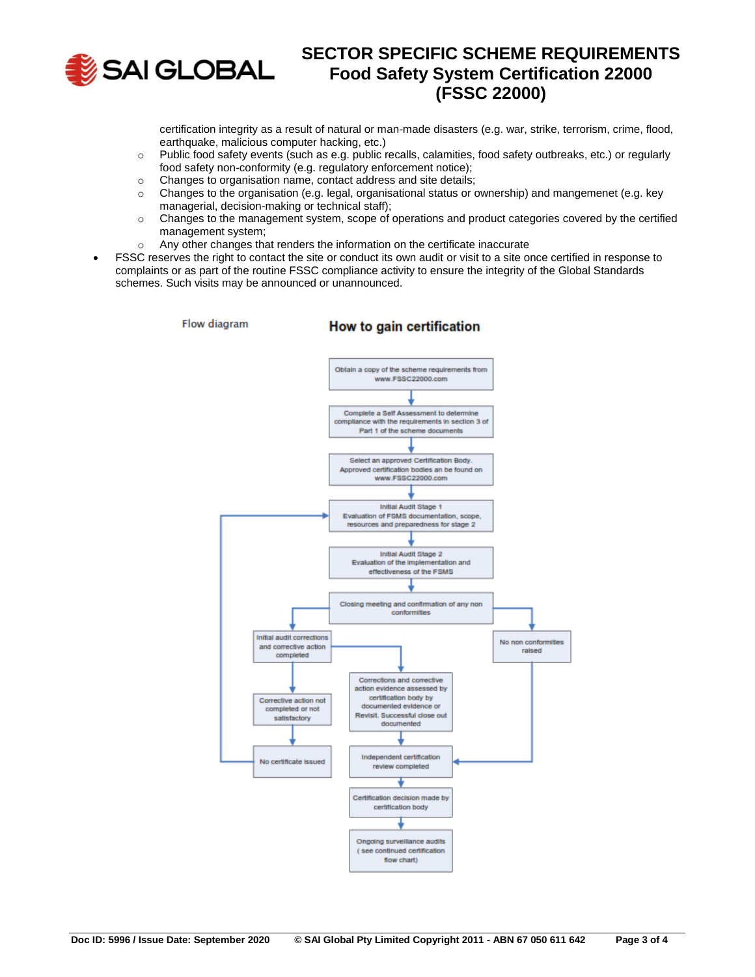

**Flow diagram** 

## **SECTOR SPECIFIC SCHEME REQUIREMENTS Food Safety System Certification 22000 (FSSC 22000)**

certification integrity as a result of natural or man-made disasters (e.g. war, strike, terrorism, crime, flood, earthquake, malicious computer hacking, etc.)

- o Public food safety events (such as e.g. public recalls, calamities, food safety outbreaks, etc.) or regularly food safety non-conformity (e.g. regulatory enforcement notice);
- o Changes to organisation name, contact address and site details;
- o Changes to the organisation (e.g. legal, organisational status or ownership) and mangemenet (e.g. key managerial, decision-making or technical staff);
- o Changes to the management system, scope of operations and product categories covered by the certified management system;
- o Any other changes that renders the information on the certificate inaccurate
- FSSC reserves the right to contact the site or conduct its own audit or visit to a site once certified in response to complaints or as part of the routine FSSC compliance activity to ensure the integrity of the Global Standards schemes. Such visits may be announced or unannounced.



How to gain certification